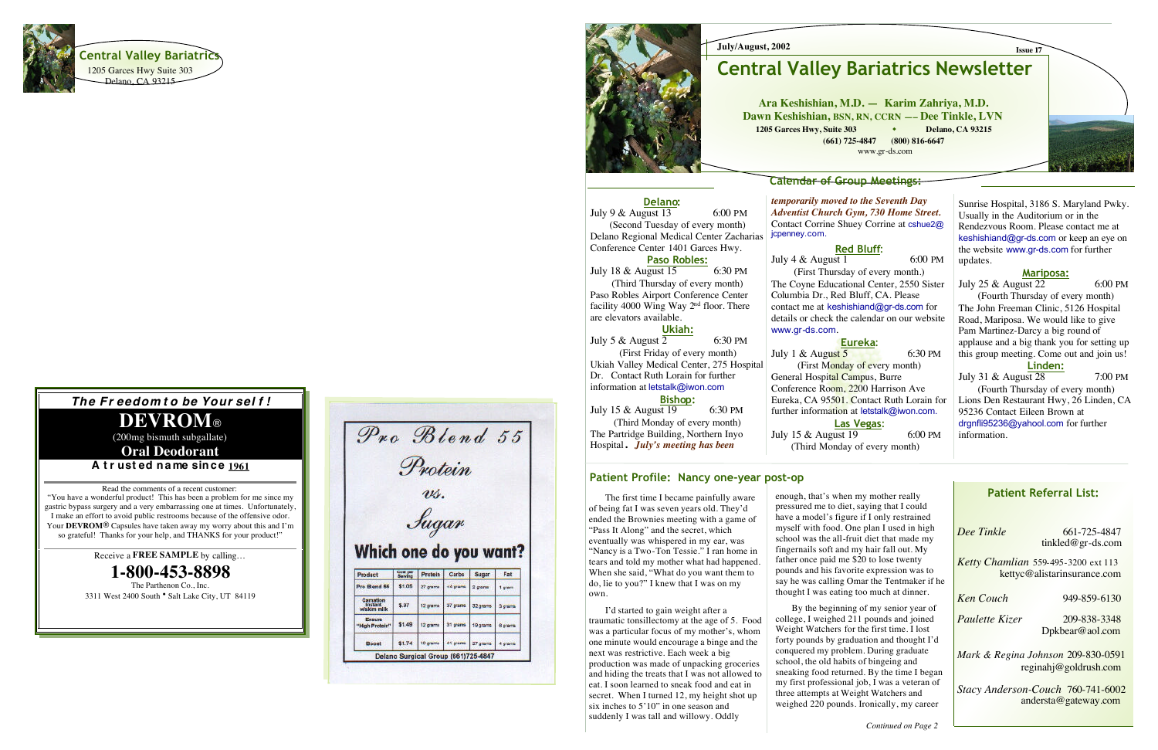

#### **July/August, 2002**

### **Calendar of Group Meetings:**

## **Patient Referral List:**

*Dee Tinkle* 

-838 -3348 Dpkbear@aol.com

-725 -4847 tinkled@gr -ds.com

*Ketty Chamlian* 559 -495 -3200 ext 113 kettyc@alistarinsurance.com

 $Ken$  *Couch* 

-859 -6130

*Paulette Kizer* 

**Oral Deodorant** A trusted name since 1961

> *Mark & Regina Johnson* 209 -830 -0591 reginahj@goldrush.com

*Stacy Anderson -Couch* 760 -741 -6002 andersta@gateway.com



**Ara Keshishian, M.D. — Karim Zahriya, M.D. Dawn Keshishian, BSN, RN, CCRN — – Dee Tinkle, LVN 1205 Garces Hwy, Suite 303 Delano, CA 93215 (661) 725 -4847 (800) 816 -6647** www.gr -ds.com

### *The Fr eedom t o be Your sel f !*

# **DEVROM**

(200mg bismuth subgallate)

July  $4 \&$  August 1 6:00 PM (First Thursday of every month.) The Coyne Educational Center, 2550 Sister Columbia Dr., Red Bluff, CA. Please contact me at keshishiand@gr -ds.com for details or check the calendar on our website www.gr -ds.com.

Read the comments of a recent customer: "You have a wonderful product! This has been a problem for me since my gastric bypass surgery and a very embarrassing one at times. Unfortunately, I make an effort to avoid public restrooms because of the offensive odor. Your **DEVROM** Capsules have taken away my worry about this and I'm so grateful! Thanks for your help, and THANKS for your product!"

July 1 & August  $\overline{5}$  6:30 PM General Hospital Campus, Burre Conference Room, 2200 Harrison Ave Eureka, CA 95501. Contact Ruth Lorain for further information at letstalk@iwon.com. July 15 & August 19 6:00 PM (Third Monday of every month)

#### Patient Profile: Nancy one-year post-op

Receive a **FREE SAMPLE** by calling…

**1-800-453-8898**

The Parthenon Co., Inc. 3311 West 2400 South • Salt Lake City, UT 84119

|                                                     |          | Protein<br>us. |          |          |         |
|-----------------------------------------------------|----------|----------------|----------|----------|---------|
|                                                     |          |                |          |          |         |
|                                                     |          |                |          |          |         |
|                                                     |          | Jugan          |          |          |         |
|                                                     |          |                |          |          |         |
|                                                     |          |                |          |          |         |
|                                                     |          |                |          |          |         |
| Which one do you want?<br>Product                   | Cost per | Protein        | Carbs    | Sugar    | Fat     |
|                                                     | \$1.05   | 27 grams       | <4 grams | 2 grams  | 1 gram  |
| Pro Blend 55<br>Carnation<br>Instant<br>wiskim milk | \$.97    | 12 grams       | 37 grams | 32 grams | 3 grams |
| Ensure<br>"High Protein"                            | \$1.49   | 12 grams       | 31 grams | 19 grams | 8 grams |



**Delano:** July 9  $\&$  August 13 6:00 PM (Second Tuesday of every month) Delano Regional Medical Center Zacharias Conference Center 1401 Garces Hwy. **Paso Robles:** July 18 & August 15 6:30 PM (Third Thursday of every month) Paso Robles Airport Conference Center facility 4000 Wing Way  $2<sup>nd</sup>$  floor. There

*temporarily moved to the Seventh Day Adventist Church Gym, 730 Home Street.*  Contact Corrine Shuey Corrine at cshue2@ jcpenney.com.

### **Red Bluff**:

#### **Eureka** :

(First Monday of every month) **Las Vegas**:

**Issue 17**

Sunrise Hospital, 3186 S. Maryland Pwky. Usually in the Auditorium or in the Rendezvous Room. Please contact me at keshishiand@gr-ds.com or keep an eye on the website www.gr -ds.com for further updates.

### **Mariposa:**

July 25 & August  $22$  6:00 PM

(Fourth Thursday of every month) The John Freeman Clinic, 5126 Hospital Road, Mariposa. We would like to give Pam Martinez -Darcy a big round of applause and a big thank you for setting up this group meeting. Come out and join us!

### **Linden:**

July 31 & August 28 7:00 PM

(Fourth Thursday of every month) Lions Den Restaurant Hwy, 26 Linden, CA 95236 Contact Eileen Brown at drgnfli95236@yahool.com for further information.

are elevators available.

**Ukiah:** July 5 & August  $\overline{2}$  6:30 PM (First Friday of every month) Ukiah Valley Medical Center, 275 Hospital Dr. Contact Ruth Lorain for further information at letstalk@iwon.com

**Bisho p:**  July 15 & August 19 6:30 PM (Third Monday of every month) The Partridge Building, Northern Inyo Hospital. *July's meeting has been* 

# **Central Valley Bariatrics Newsletter**

 The first time I became painfully aware of being fat I was seven years old. They'd ended the Brownies meeting with a game of "Pass It Along" and the secret, which eventually was whispered in my ear, was "Nancy is a Two -Ton Tessie." I ran home in tears and told my mother what had happened. When she said, "What do you want them to do, lie to you?" I knew that I was on my own.

 I'd started to gain weight after a traumatic tonsillectomy at the age of 5. Food was a particular focus of my mother's, whom one minute would encourage a binge and the next was restrictive. Each week a big production was made of unpacking groceries and hiding the treats that I was not allowed to eat. I soon learned to sneak food and eat in secret. When I turned 12, my height shot up six inches to 5'10" in one season and suddenly I was tall and willowy. Oddly

enough, that's when my mother really pressured me to diet, saying that I could have a model's figure if I only restrained myself with food. One plan I used in high school was the all -fruit diet that made my fingernails soft and my hair fall out. My father once paid me \$20 to lose twenty pounds and his favorite expression was to say he was calling Omar the Tentmaker if he thought I was eating too much at dinner.

 By the beginning of my senior year of college, I weighed 211 pounds and joined Weight Watchers for the first time. I lost forty pounds by graduation and thought I'd conquered my problem. During graduate school, the old habits of bingeing and sneaking food returned. By the time I began my first professional job, I was a veteran of three attempts at Weight Watchers and weighed 220 pounds. Ironically, my career